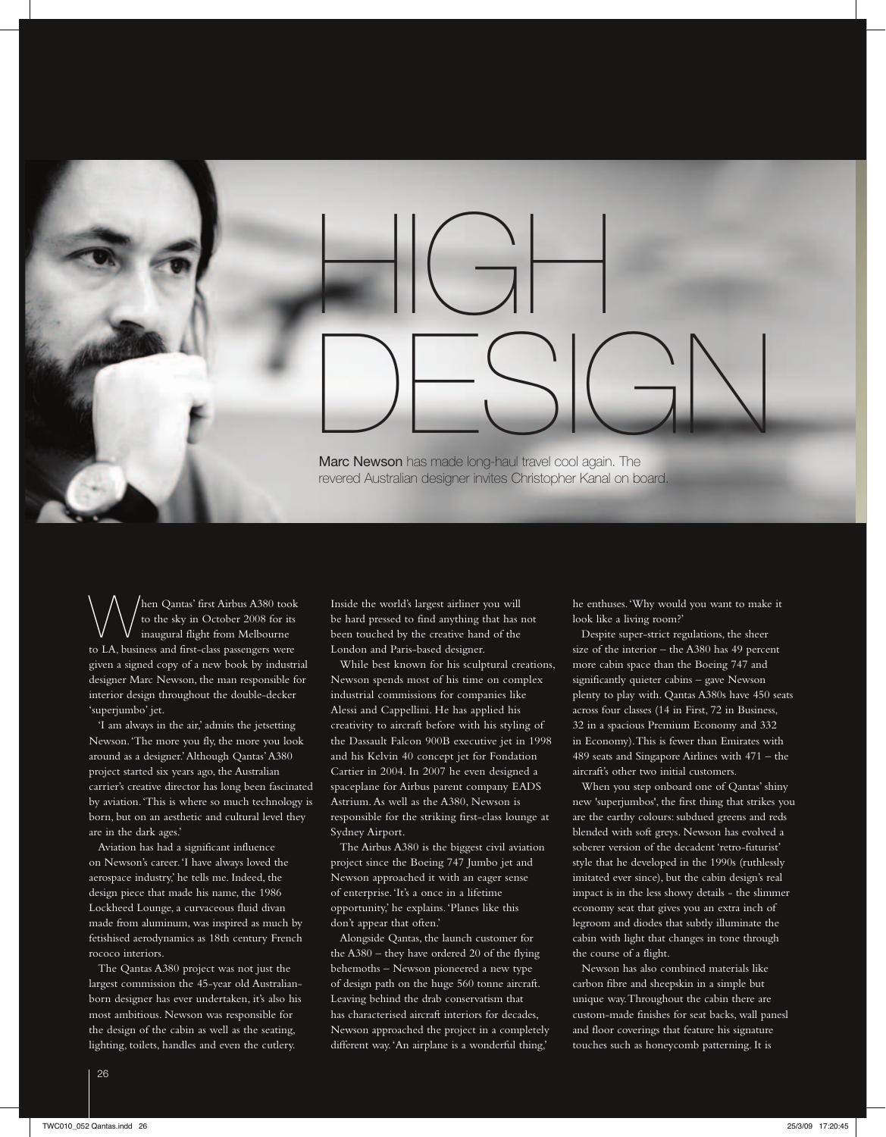## $H_G$ DESIGN Marc Newson has made long-haul travel cool again. The revered Australian designer invites Christopher Kanal on board.

When Qantas' first Airbus A380 took to the sky in October 2008 for its inaugural flight from Melbourne to LA, business and first-class passengers were given a signed copy of a new book by industrial designer Marc Newson, the man responsible for interior design throughout the double-decker 'superjumbo' jet.

'I am always in the air,' admits the jetsetting Newson. 'The more you fly, the more you look around as a designer.' Although Qantas' A380 project started six years ago, the Australian carrier's creative director has long been fascinated by aviation. 'This is where so much technology is born, but on an aesthetic and cultural level they are in the dark ages.'

Aviation has had a significant influence on Newson's career. 'I have always loved the aerospace industry,' he tells me. Indeed, the design piece that made his name, the 1986 Lockheed Lounge, a curvaceous fluid divan made from aluminum, was inspired as much by fetishised aerodynamics as 18th century French rococo interiors.

The Qantas A380 project was not just the largest commission the 45-year old Australianborn designer has ever undertaken, it's also his most ambitious. Newson was responsible for the design of the cabin as well as the seating, lighting, toilets, handles and even the cutlery.

Inside the world's largest airliner you will be hard pressed to find anything that has not been touched by the creative hand of the London and Paris-based designer.

While best known for his sculptural creations, Newson spends most of his time on complex industrial commissions for companies like Alessi and Cappellini. He has applied his creativity to aircraft before with his styling of the Dassault Falcon 900B executive jet in 1998 and his Kelvin 40 concept jet for Fondation Cartier in 2004. In 2007 he even designed a spaceplane for Airbus parent company EADS Astrium. As well as the A380, Newson is responsible for the striking first-class lounge at Sydney Airport.

The Airbus A380 is the biggest civil aviation project since the Boeing 747 Jumbo jet and Newson approached it with an eager sense of enterprise. 'It's a once in a lifetime opportunity,' he explains. 'Planes like this don't appear that often.'

Alongside Qantas, the launch customer for the A380 – they have ordered 20 of the flying behemoths – Newson pioneered a new type of design path on the huge 560 tonne aircraft. Leaving behind the drab conservatism that has characterised aircraft interiors for decades, Newson approached the project in a completely different way. 'An airplane is a wonderful thing,' he enthuses. 'Why would you want to make it look like a living room?'

Despite super-strict regulations, the sheer size of the interior – the A380 has 49 percent more cabin space than the Boeing 747 and significantly quieter cabins – gave Newson plenty to play with. Qantas A380s have 450 seats across four classes (14 in First, 72 in Business, 32 in a spacious Premium Economy and 332 in Economy). This is fewer than Emirates with 489 seats and Singapore Airlines with 471 – the aircraft's other two initial customers.

When you step onboard one of Qantas' shiny new 'superjumbos', the first thing that strikes you are the earthy colours: subdued greens and reds blended with soft greys. Newson has evolved a soberer version of the decadent 'retro-futurist' style that he developed in the 1990s (ruthlessly imitated ever since), but the cabin design's real impact is in the less showy details - the slimmer economy seat that gives you an extra inch of legroom and diodes that subtly illuminate the cabin with light that changes in tone through the course of a flight.

Newson has also combined materials like carbon fibre and sheepskin in a simple but unique way. Throughout the cabin there are custom-made finishes for seat backs, wall panesl and floor coverings that feature his signature touches such as honeycomb patterning. It is

 $\overline{t}$